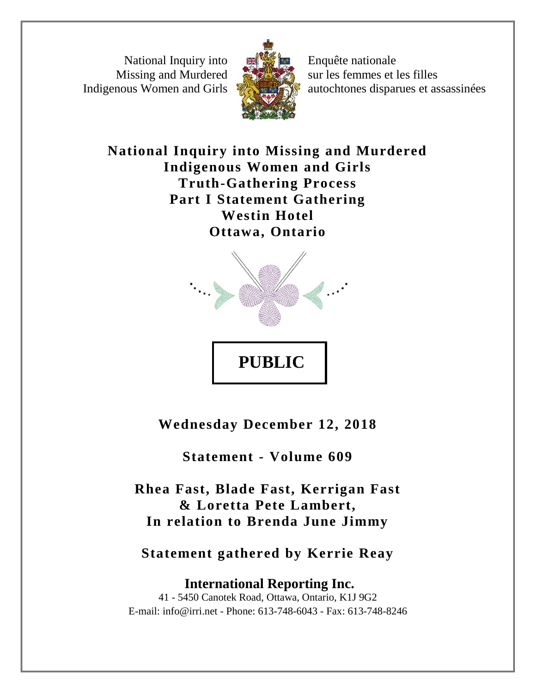National Inquiry into Missing and Murdered Indigenous Women and Girls



Enquête nationale sur les femmes et les filles autochtones disparues et assassinées

**National Inquiry into Missing and Murdered Indigenous Women and Girls Truth-Gathering Process Part I Statement Gathering Westin Hotel Ottawa, Ontario**



**Wednesday December 12, 2018**

**Statement - Volume 609**

**Rhea Fast, Blade Fast, Kerrigan Fast & Loretta Pete Lambert, In relation to Brenda June Jimmy**

**Statement gathered by Kerrie Reay**

**International Reporting Inc.** 41 - 5450 Canotek Road, Ottawa, Ontario, K1J 9G2 E-mail: info@irri.net - Phone: 613-748-6043 - Fax: 613-748-8246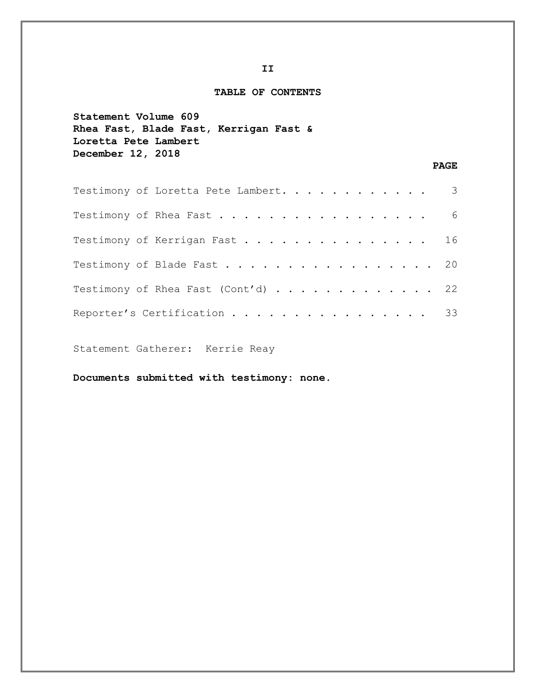## **TABLE OF CONTENTS**

```
Statement Volume 609
Rhea Fast, Blade Fast, Kerrigan Fast & 
Loretta Pete Lambert 
December 12, 2018
```
## **PAGE**

| Testimony of Loretta Pete Lambert. 3 |  |
|--------------------------------------|--|
| Testimony of Rhea Fast 6             |  |
| Testimony of Kerrigan Fast 16        |  |
| Testimony of Blade Fast 20           |  |
| Testimony of Rhea Fast (Cont'd) 22   |  |
| Reporter's Certification 33          |  |

Statement Gatherer: Kerrie Reay

**Documents submitted with testimony: none.**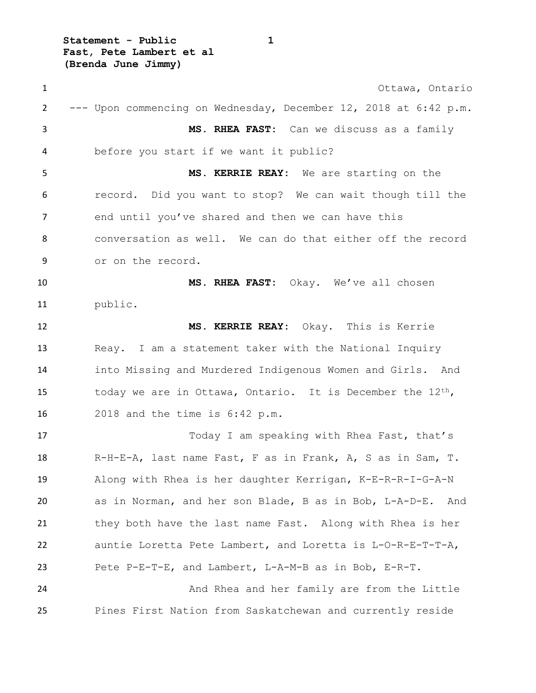**Statement - Public 1 Fast, Pete Lambert et al (Brenda June Jimmy)**

 Ottawa, Ontario --- Upon commencing on Wednesday, December 12, 2018 at 6:42 p.m. **MS. RHEA FAST:** Can we discuss as a family before you start if we want it public? **MS. KERRIE REAY:** We are starting on the record. Did you want to stop? We can wait though till the 7 end until you've shared and then we can have this conversation as well. We can do that either off the record or on the record. **MS. RHEA FAST:** Okay. We've all chosen public. **MS. KERRIE REAY:** Okay. This is Kerrie Reay. I am a statement taker with the National Inquiry into Missing and Murdered Indigenous Women and Girls. And 15 today we are in Ottawa, Ontario. It is December the  $12<sup>th</sup>$ , 2018 and the time is 6:42 p.m. Today I am speaking with Rhea Fast, that's R-H-E-A, last name Fast, F as in Frank, A, S as in Sam, T. Along with Rhea is her daughter Kerrigan, K-E-R-R-I-G-A-N as in Norman, and her son Blade, B as in Bob, L-A-D-E. And they both have the last name Fast. Along with Rhea is her auntie Loretta Pete Lambert, and Loretta is L-O-R-E-T-T-A, Pete P-E-T-E, and Lambert, L-A-M-B as in Bob, E-R-T. And Rhea and her family are from the Little Pines First Nation from Saskatchewan and currently reside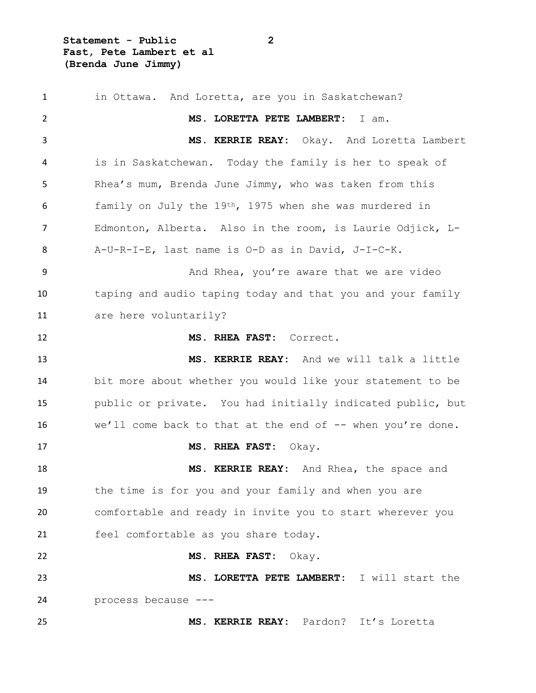**Statement - Public 2 Fast, Pete Lambert et al (Brenda June Jimmy)**

1 in Ottawa. And Loretta, are you in Saskatchewan? **MS. LORETTA PETE LAMBERT:** I am. **MS. KERRIE REAY:** Okay. And Loretta Lambert is in Saskatchewan. Today the family is her to speak of Rhea's mum, Brenda June Jimmy, who was taken from this family on July the 19th, 1975 when she was murdered in Edmonton, Alberta. Also in the room, is Laurie Odjick, L- A-U-R-I-E, last name is O-D as in David, J-I-C-K. 9 And Rhea, you're aware that we are video taping and audio taping today and that you and your family are here voluntarily? **MS. RHEA FAST:** Correct. **MS. KERRIE REAY:** And we will talk a little bit more about whether you would like your statement to be public or private. You had initially indicated public, but we'll come back to that at the end of -- when you're done. **MS. RHEA FAST:** Okay. **MS. KERRIE REAY:** And Rhea, the space and the time is for you and your family and when you are comfortable and ready in invite you to start wherever you feel comfortable as you share today. **MS. RHEA FAST:** Okay. **MS. LORETTA PETE LAMBERT:** I will start the process because --- **MS. KERRIE REAY:** Pardon? It's Loretta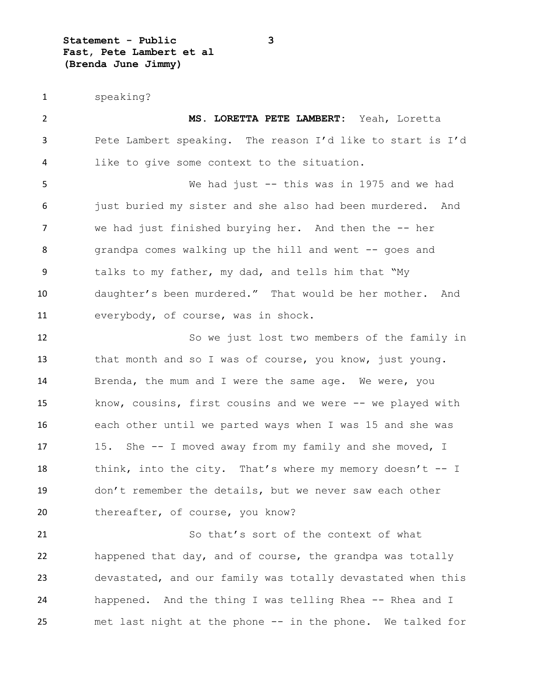**Statement - Public 3 Fast, Pete Lambert et al (Brenda June Jimmy)**

speaking?

 **MS. LORETTA PETE LAMBERT:** Yeah, Loretta Pete Lambert speaking. The reason I'd like to start is I'd like to give some context to the situation. We had just -- this was in 1975 and we had 6 just buried my sister and she also had been murdered. And 7 we had just finished burying her. And then the -- her 8 grandpa comes walking up the hill and went -- goes and talks to my father, my dad, and tells him that "My daughter's been murdered." That would be her mother. And everybody, of course, was in shock. So we just lost two members of the family in 13 that month and so I was of course, you know, just young. Brenda, the mum and I were the same age. We were, you know, cousins, first cousins and we were -- we played with each other until we parted ways when I was 15 and she was 17 15. She -- I moved away from my family and she moved, I 18 think, into the city. That's where my memory doesn't -- I don't remember the details, but we never saw each other 20 thereafter, of course, you know? 21 So that's sort of the context of what happened that day, and of course, the grandpa was totally devastated, and our family was totally devastated when this happened. And the thing I was telling Rhea -- Rhea and I

met last night at the phone -- in the phone. We talked for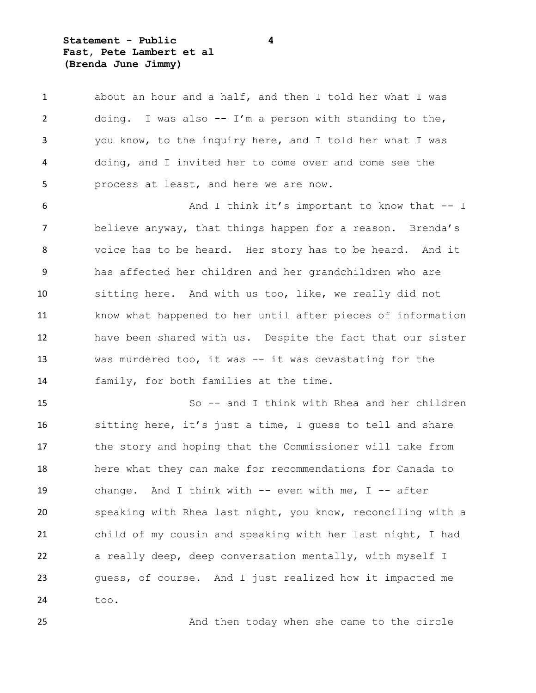**Statement - Public 4 Fast, Pete Lambert et al (Brenda June Jimmy)**

 about an hour and a half, and then I told her what I was doing. I was also -- I'm a person with standing to the, you know, to the inquiry here, and I told her what I was doing, and I invited her to come over and come see the process at least, and here we are now.

6 And I think it's important to know that -- I believe anyway, that things happen for a reason. Brenda's voice has to be heard. Her story has to be heard. And it has affected her children and her grandchildren who are sitting here. And with us too, like, we really did not know what happened to her until after pieces of information have been shared with us. Despite the fact that our sister was murdered too, it was -- it was devastating for the family, for both families at the time.

 So -- and I think with Rhea and her children sitting here, it's just a time, I guess to tell and share the story and hoping that the Commissioner will take from here what they can make for recommendations for Canada to change. And I think with -- even with me, I -- after speaking with Rhea last night, you know, reconciling with a child of my cousin and speaking with her last night, I had a really deep, deep conversation mentally, with myself I guess, of course. And I just realized how it impacted me too.

25 And then today when she came to the circle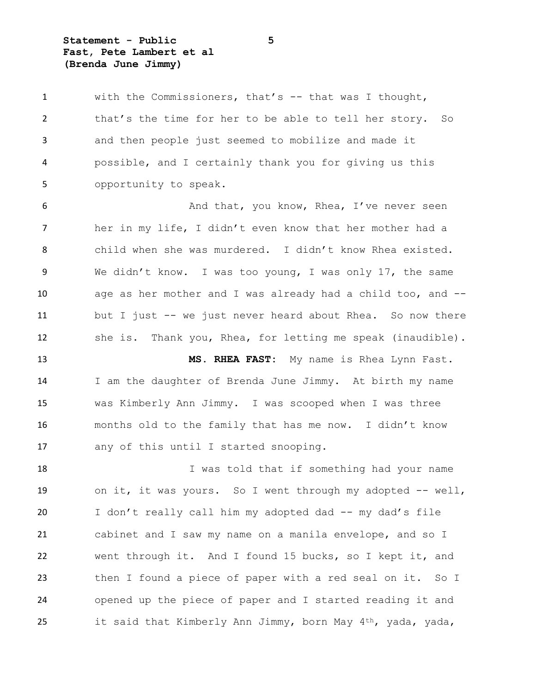**Statement - Public 5 Fast, Pete Lambert et al (Brenda June Jimmy)**

 with the Commissioners, that's -- that was I thought, that's the time for her to be able to tell her story. So and then people just seemed to mobilize and made it possible, and I certainly thank you for giving us this opportunity to speak.

**And that, you know, Rhea, I've never seen**  her in my life, I didn't even know that her mother had a child when she was murdered. I didn't know Rhea existed. We didn't know. I was too young, I was only 17, the same age as her mother and I was already had a child too, and -- but I just -- we just never heard about Rhea. So now there she is. Thank you, Rhea, for letting me speak (inaudible).

 **MS. RHEA FAST:** My name is Rhea Lynn Fast. I am the daughter of Brenda June Jimmy. At birth my name was Kimberly Ann Jimmy. I was scooped when I was three months old to the family that has me now. I didn't know any of this until I started snooping.

 I was told that if something had your name on it, it was yours. So I went through my adopted -- well, 20 I don't really call him my adopted dad -- my dad's file cabinet and I saw my name on a manila envelope, and so I went through it. And I found 15 bucks, so I kept it, and then I found a piece of paper with a red seal on it. So I opened up the piece of paper and I started reading it and it said that Kimberly Ann Jimmy, born May 4th, yada, yada,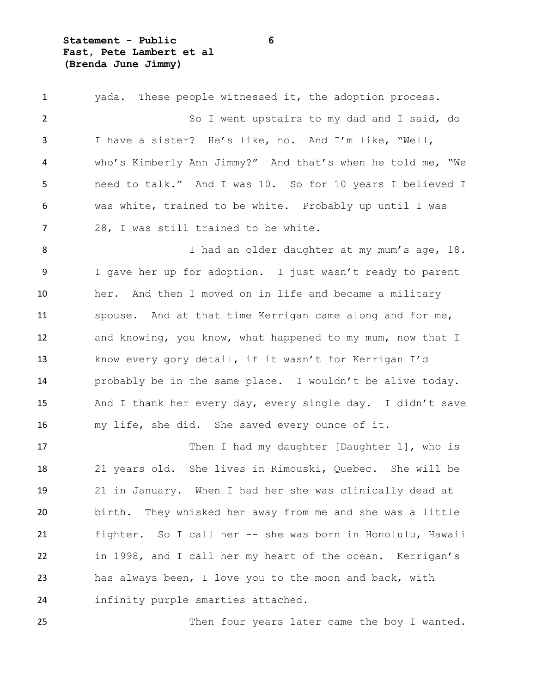**Statement - Public 6 Fast, Pete Lambert et al (Brenda June Jimmy)**

 yada. These people witnessed it, the adoption process. So I went upstairs to my dad and I said, do I have a sister? He's like, no. And I'm like, "Well, who's Kimberly Ann Jimmy?" And that's when he told me, "We need to talk." And I was 10. So for 10 years I believed I was white, trained to be white. Probably up until I was 28, I was still trained to be white. 8 I had an older daughter at my mum's age, 18. I gave her up for adoption. I just wasn't ready to parent her. And then I moved on in life and became a military spouse. And at that time Kerrigan came along and for me, and knowing, you know, what happened to my mum, now that I know every gory detail, if it wasn't for Kerrigan I'd probably be in the same place. I wouldn't be alive today. And I thank her every day, every single day. I didn't save my life, she did. She saved every ounce of it. 17 Then I had my daughter [Daughter 1], who is 21 years old. She lives in Rimouski, Quebec. She will be 21 in January. When I had her she was clinically dead at birth. They whisked her away from me and she was a little fighter. So I call her -- she was born in Honolulu, Hawaii in 1998, and I call her my heart of the ocean. Kerrigan's has always been, I love you to the moon and back, with infinity purple smarties attached. 25 Then four years later came the boy I wanted.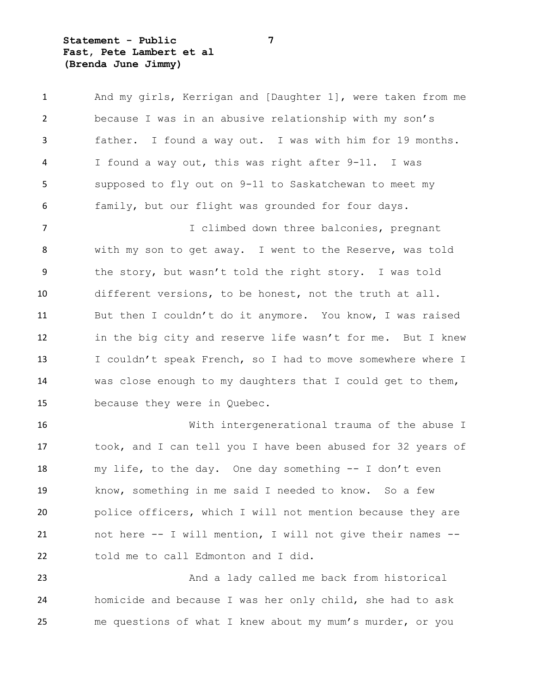**Statement - Public 7 Fast, Pete Lambert et al (Brenda June Jimmy)**

| $\mathbf{1}$   | And my girls, Kerrigan and [Daughter 1], were taken from me |
|----------------|-------------------------------------------------------------|
| 2              | because I was in an abusive relationship with my son's      |
| 3              | father. I found a way out. I was with him for 19 months.    |
| 4              | I found a way out, this was right after 9-11. I was         |
| 5              | supposed to fly out on 9-11 to Saskatchewan to meet my      |
| 6              | family, but our flight was grounded for four days.          |
| $\overline{7}$ | I climbed down three balconies, pregnant                    |
| 8              | with my son to get away. I went to the Reserve, was told    |
| 9              | the story, but wasn't told the right story. I was told      |
| 10             | different versions, to be honest, not the truth at all.     |
| 11             | But then I couldn't do it anymore. You know, I was raised   |
| 12             | in the big city and reserve life wasn't for me. But I knew  |
| 13             | I couldn't speak French, so I had to move somewhere where I |
| 14             | was close enough to my daughters that I could get to them,  |
| 15             | because they were in Quebec.                                |
| 16             | With intergenerational trauma of the abuse I                |
| 17             | took, and I can tell you I have been abused for 32 years of |
| 18             | my life, to the day. One day something -- I don't even      |
| 19             | know, something in me said I needed to know. So a few       |
| 20             | police officers, which I will not mention because they are  |
| 21             | not here -- I will mention, I will not give their names --  |
| 22             | told me to call Edmonton and I did.                         |
| 23             | And a lady called me back from historical                   |
| 24             | homicide and because I was her only child, she had to ask   |

me questions of what I knew about my mum's murder, or you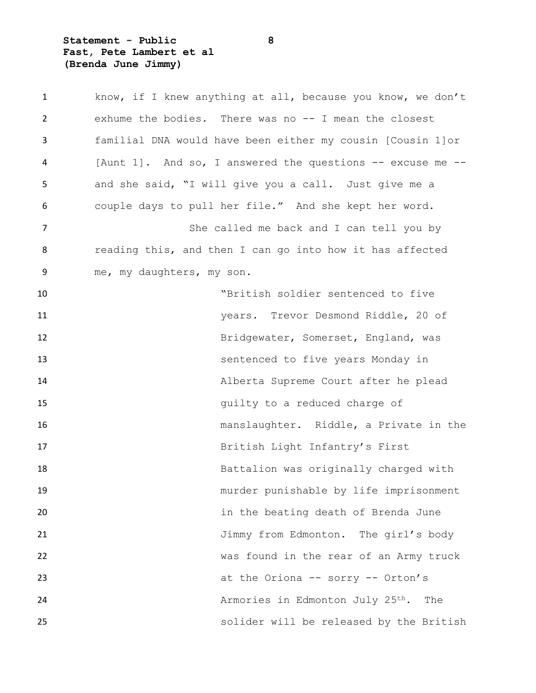**Statement - Public 8 Fast, Pete Lambert et al (Brenda June Jimmy)**

| $\mathbf{1}$   |                           | know, if I knew anything at all, because you know, we don't |
|----------------|---------------------------|-------------------------------------------------------------|
| $\overline{2}$ |                           | exhume the bodies. There was no -- I mean the closest       |
| 3              |                           | familial DNA would have been either my cousin [Cousin 1] or |
| 4              |                           | [Aunt 1]. And so, I answered the questions -- excuse me --  |
| 5              |                           | and she said, "I will give you a call. Just give me a       |
| 6              |                           | couple days to pull her file." And she kept her word.       |
| $\overline{7}$ |                           | She called me back and I can tell you by                    |
| 8              |                           | reading this, and then I can go into how it has affected    |
| 9              | me, my daughters, my son. |                                                             |
| 10             |                           | "British soldier sentenced to five                          |
| 11             |                           | years. Trevor Desmond Riddle, 20 of                         |
| 12             |                           | Bridgewater, Somerset, England, was                         |
| 13             |                           | sentenced to five years Monday in                           |
| 14             |                           | Alberta Supreme Court after he plead                        |
| 15             |                           | quilty to a reduced charge of                               |
| 16             |                           | manslaughter. Riddle, a Private in the                      |
| 17             |                           | British Light Infantry's First                              |
| 18             |                           | Battalion was originally charged with                       |
| 19             |                           | murder punishable by life imprisonment                      |
| 20             |                           | in the beating death of Brenda June                         |
| 21             |                           | Jimmy from Edmonton. The girl's body                        |
| 22             |                           | was found in the rear of an Army truck                      |
| 23             |                           | at the Oriona -- sorry -- Orton's                           |
| 24             |                           | Armories in Edmonton July 25th.<br>The                      |
| 25             |                           | solider will be released by the British                     |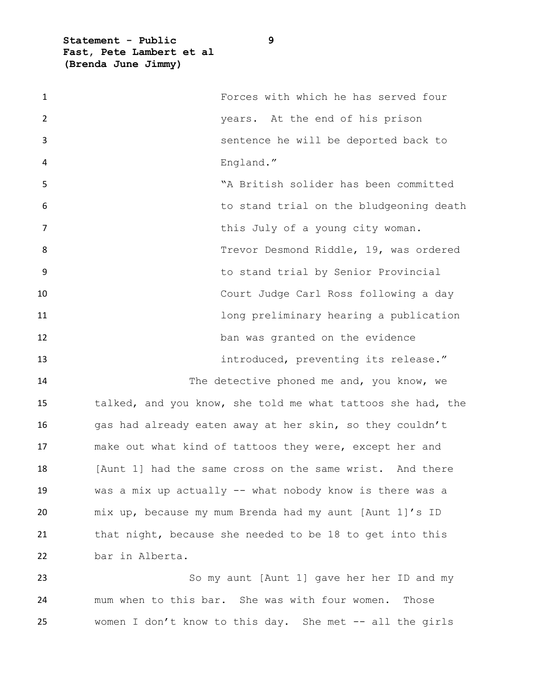**Statement - Public 9 Fast, Pete Lambert et al (Brenda June Jimmy)**

| $\mathbf{1}$ | Forces with which he has served four                        |
|--------------|-------------------------------------------------------------|
| 2            | years. At the end of his prison                             |
| 3            | sentence he will be deported back to                        |
| 4            | England."                                                   |
| 5            | "A British solider has been committed                       |
| 6            | to stand trial on the bludgeoning death                     |
| 7            | this July of a young city woman.                            |
| 8            | Trevor Desmond Riddle, 19, was ordered                      |
| 9            | to stand trial by Senior Provincial                         |
| 10           | Court Judge Carl Ross following a day                       |
| 11           | long preliminary hearing a publication                      |
| 12           | ban was granted on the evidence                             |
| 13           | introduced, preventing its release."                        |
| 14           | The detective phoned me and, you know, we                   |
| 15           | talked, and you know, she told me what tattoos she had, the |
| 16           | gas had already eaten away at her skin, so they couldn't    |
| 17           | make out what kind of tattoos they were, except her and     |
| 18           | [Aunt 1] had the same cross on the same wrist. And there    |
| 19           | was a mix up actually -- what nobody know is there was a    |
| 20           | mix up, because my mum Brenda had my aunt [Aunt 1]'s ID     |
| 21           | that night, because she needed to be 18 to get into this    |
| 22           | bar in Alberta.                                             |
| 23           | So my aunt [Aunt 1] gave her her ID and my                  |
| 24           | mum when to this bar. She was with four women.<br>Those     |

women I don't know to this day. She met -- all the girls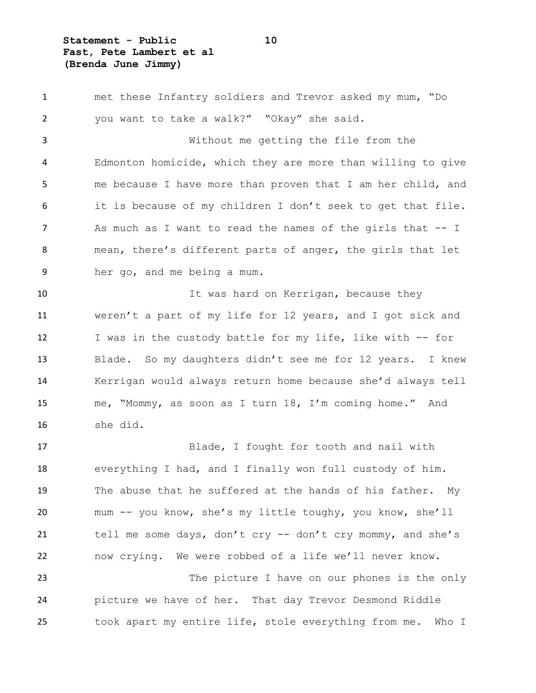**Statement - Public 10 Fast, Pete Lambert et al (Brenda June Jimmy)**

 met these Infantry soldiers and Trevor asked my mum, "Do you want to take a walk?" "Okay" she said. Without me getting the file from the Edmonton homicide, which they are more than willing to give me because I have more than proven that I am her child, and it is because of my children I don't seek to get that file. 7 As much as I want to read the names of the girls that -- I mean, there's different parts of anger, the girls that let her go, and me being a mum. 10 10 It was hard on Kerrigan, because they weren't a part of my life for 12 years, and I got sick and I was in the custody battle for my life, like with -- for Blade. So my daughters didn't see me for 12 years. I knew Kerrigan would always return home because she'd always tell me, "Mommy, as soon as I turn 18, I'm coming home." And she did. Blade, I fought for tooth and nail with everything I had, and I finally won full custody of him. The abuse that he suffered at the hands of his father. My mum -- you know, she's my little toughy, you know, she'll tell me some days, don't cry -- don't cry mommy, and she's now crying. We were robbed of a life we'll never know.

 The picture I have on our phones is the only picture we have of her. That day Trevor Desmond Riddle took apart my entire life, stole everything from me. Who I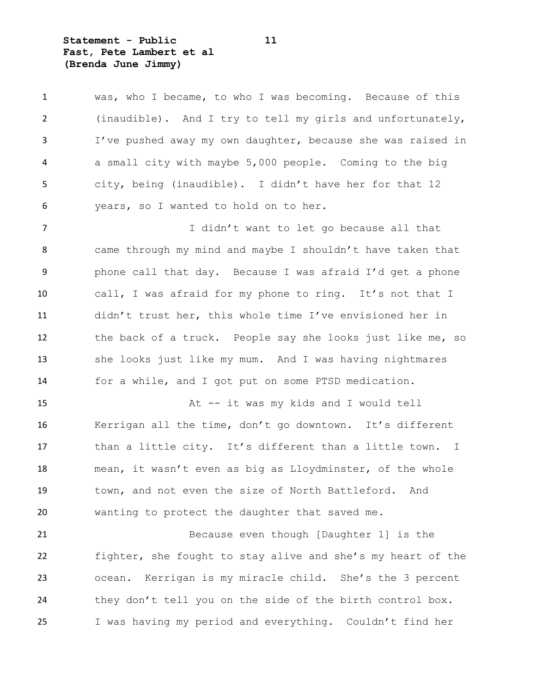**Statement - Public 11 Fast, Pete Lambert et al (Brenda June Jimmy)**

 was, who I became, to who I was becoming. Because of this (inaudible). And I try to tell my girls and unfortunately, I've pushed away my own daughter, because she was raised in a small city with maybe 5,000 people. Coming to the big city, being (inaudible). I didn't have her for that 12 years, so I wanted to hold on to her.

7 I didn't want to let go because all that came through my mind and maybe I shouldn't have taken that phone call that day. Because I was afraid I'd get a phone call, I was afraid for my phone to ring. It's not that I didn't trust her, this whole time I've envisioned her in the back of a truck. People say she looks just like me, so she looks just like my mum. And I was having nightmares for a while, and I got put on some PTSD medication.

 At -- it was my kids and I would tell Kerrigan all the time, don't go downtown. It's different than a little city. It's different than a little town. I mean, it wasn't even as big as Lloydminster, of the whole town, and not even the size of North Battleford. And wanting to protect the daughter that saved me.

21 Because even though [Daughter 1] is the fighter, she fought to stay alive and she's my heart of the ocean. Kerrigan is my miracle child. She's the 3 percent they don't tell you on the side of the birth control box. I was having my period and everything. Couldn't find her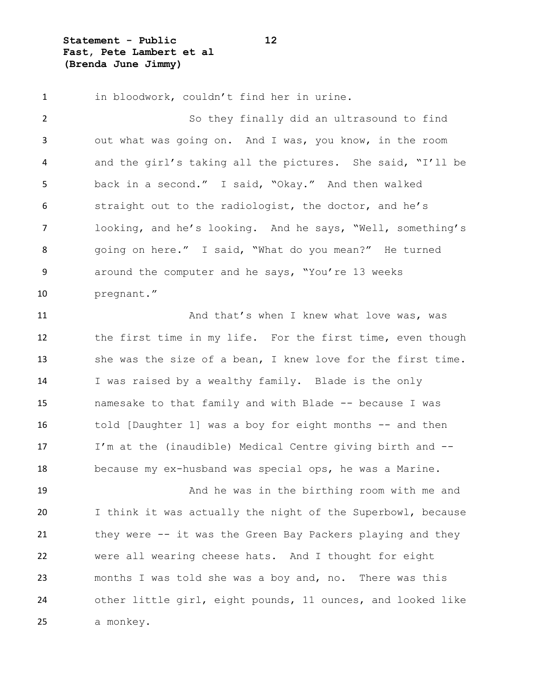**Statement - Public 12 Fast, Pete Lambert et al (Brenda June Jimmy)**

1 in bloodwork, couldn't find her in urine. So they finally did an ultrasound to find out what was going on. And I was, you know, in the room and the girl's taking all the pictures. She said, "I'll be back in a second." I said, "Okay." And then walked straight out to the radiologist, the doctor, and he's looking, and he's looking. And he says, "Well, something's going on here." I said, "What do you mean?" He turned around the computer and he says, "You're 13 weeks pregnant." 11 And that's when I knew what love was, was the first time in my life. For the first time, even though she was the size of a bean, I knew love for the first time. I was raised by a wealthy family. Blade is the only namesake to that family and with Blade -- because I was told [Daughter 1] was a boy for eight months -- and then I'm at the (inaudible) Medical Centre giving birth and -- because my ex-husband was special ops, he was a Marine. And he was in the birthing room with me and

 I think it was actually the night of the Superbowl, because they were -- it was the Green Bay Packers playing and they were all wearing cheese hats. And I thought for eight months I was told she was a boy and, no. There was this other little girl, eight pounds, 11 ounces, and looked like a monkey.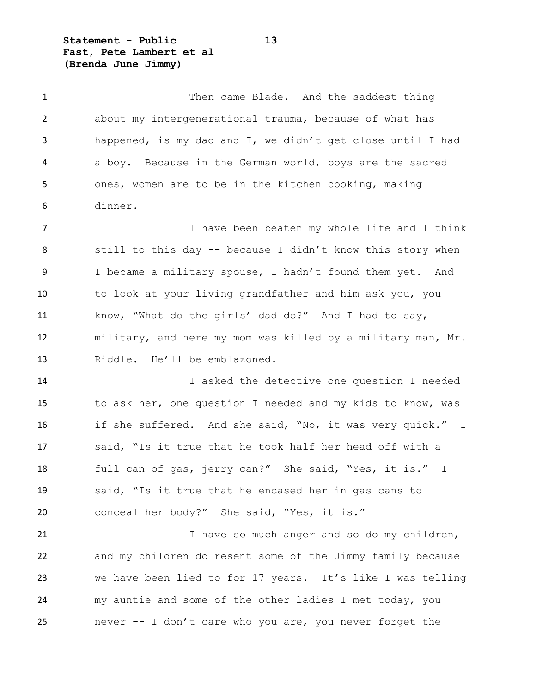**Statement - Public 13 Fast, Pete Lambert et al (Brenda June Jimmy)**

1 Then came Blade. And the saddest thing about my intergenerational trauma, because of what has happened, is my dad and I, we didn't get close until I had a boy. Because in the German world, boys are the sacred ones, women are to be in the kitchen cooking, making dinner.

7 Thave been beaten my whole life and I think 8 still to this day -- because I didn't know this story when I became a military spouse, I hadn't found them yet. And to look at your living grandfather and him ask you, you know, "What do the girls' dad do?" And I had to say, military, and here my mom was killed by a military man, Mr. Riddle. He'll be emblazoned.

 I asked the detective one question I needed to ask her, one question I needed and my kids to know, was if she suffered. And she said, "No, it was very quick." I said, "Is it true that he took half her head off with a full can of gas, jerry can?" She said, "Yes, it is." I said, "Is it true that he encased her in gas cans to conceal her body?" She said, "Yes, it is."

21 I have so much anger and so do my children, and my children do resent some of the Jimmy family because we have been lied to for 17 years. It's like I was telling my auntie and some of the other ladies I met today, you never -- I don't care who you are, you never forget the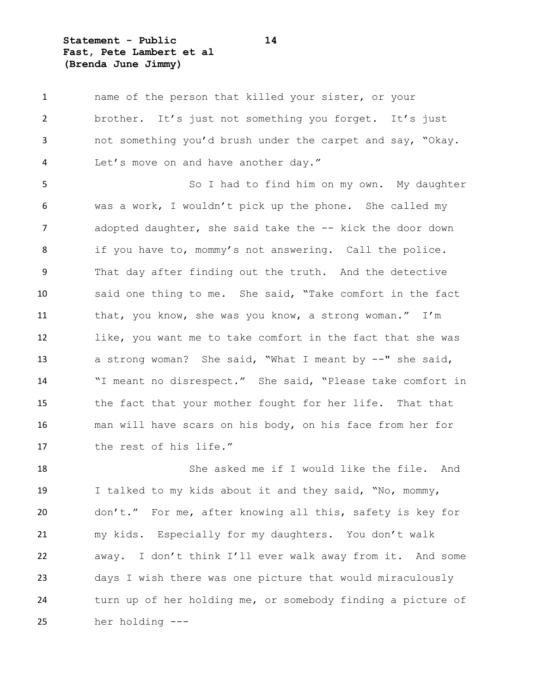**Statement - Public 14 Fast, Pete Lambert et al (Brenda June Jimmy)**

 name of the person that killed your sister, or your 2 brother. It's just not something you forget. It's just not something you'd brush under the carpet and say, "Okay. Let's move on and have another day."

5 So I had to find him on my own. My daughter was a work, I wouldn't pick up the phone. She called my 7 adopted daughter, she said take the -- kick the door down if you have to, mommy's not answering. Call the police. That day after finding out the truth. And the detective said one thing to me. She said, "Take comfort in the fact that, you know, she was you know, a strong woman." I'm like, you want me to take comfort in the fact that she was a strong woman? She said, "What I meant by --" she said, "I meant no disrespect." She said, "Please take comfort in the fact that your mother fought for her life. That that man will have scars on his body, on his face from her for the rest of his life."

 She asked me if I would like the file. And I talked to my kids about it and they said, "No, mommy, don't." For me, after knowing all this, safety is key for my kids. Especially for my daughters. You don't walk away. I don't think I'll ever walk away from it. And some days I wish there was one picture that would miraculously turn up of her holding me, or somebody finding a picture of her holding ---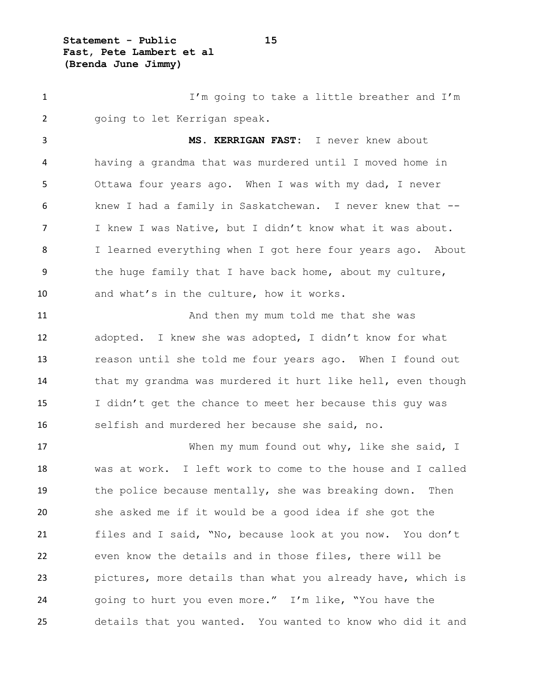**Statement - Public 15 Fast, Pete Lambert et al (Brenda June Jimmy)**

 I'm going to take a little breather and I'm going to let Kerrigan speak. **MS. KERRIGAN FAST:** I never knew about having a grandma that was murdered until I moved home in Ottawa four years ago. When I was with my dad, I never knew I had a family in Saskatchewan. I never knew that -- I knew I was Native, but I didn't know what it was about. 8 I learned everything when I got here four years ago. About the huge family that I have back home, about my culture, and what's in the culture, how it works. 11 And then my mum told me that she was adopted. I knew she was adopted, I didn't know for what

 reason until she told me four years ago. When I found out that my grandma was murdered it hurt like hell, even though I didn't get the chance to meet her because this guy was selfish and murdered her because she said, no.

17 When my mum found out why, like she said, I was at work. I left work to come to the house and I called the police because mentally, she was breaking down. Then she asked me if it would be a good idea if she got the files and I said, "No, because look at you now. You don't even know the details and in those files, there will be pictures, more details than what you already have, which is going to hurt you even more." I'm like, "You have the details that you wanted. You wanted to know who did it and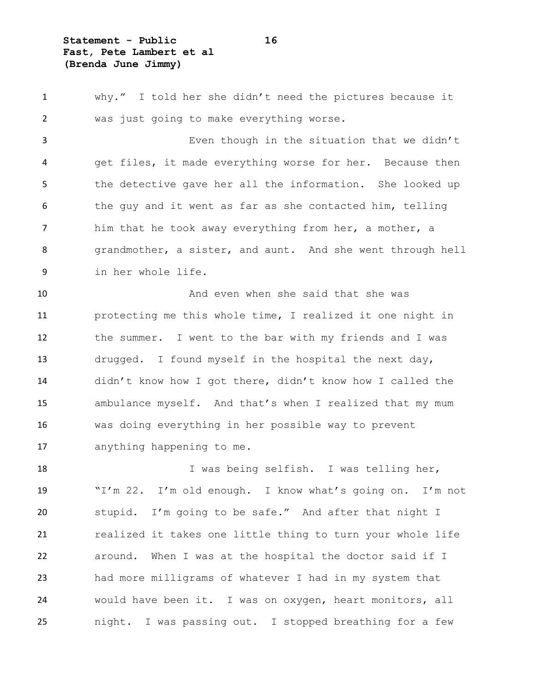**Statement - Public 16 Fast, Pete Lambert et al (Brenda June Jimmy)**

 why." I told her she didn't need the pictures because it was just going to make everything worse. Even though in the situation that we didn't get files, it made everything worse for her. Because then

 the detective gave her all the information. She looked up the guy and it went as far as she contacted him, telling 7 him that he took away everything from her, a mother, a grandmother, a sister, and aunt. And she went through hell in her whole life.

10 And even when she said that she was protecting me this whole time, I realized it one night in the summer. I went to the bar with my friends and I was drugged. I found myself in the hospital the next day, didn't know how I got there, didn't know how I called the ambulance myself. And that's when I realized that my mum was doing everything in her possible way to prevent anything happening to me.

 I was being selfish. I was telling her, "I'm 22. I'm old enough. I know what's going on. I'm not stupid. I'm going to be safe." And after that night I 21 realized it takes one little thing to turn your whole life around. When I was at the hospital the doctor said if I had more milligrams of whatever I had in my system that would have been it. I was on oxygen, heart monitors, all night. I was passing out. I stopped breathing for a few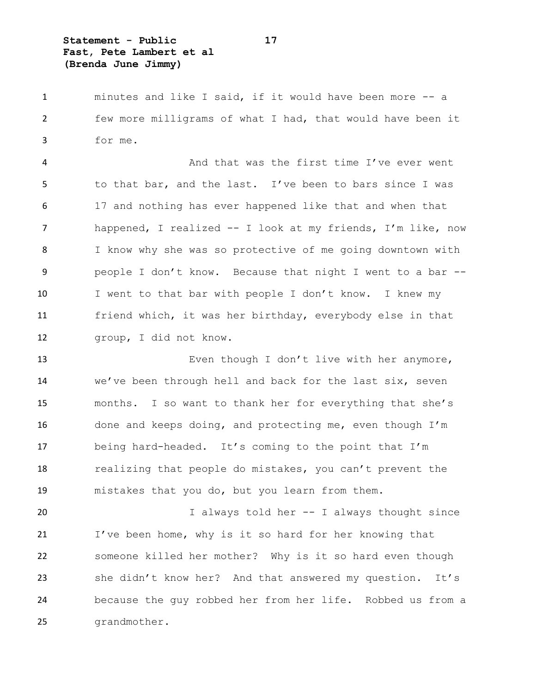**Statement - Public 17 Fast, Pete Lambert et al (Brenda June Jimmy)**

 minutes and like I said, if it would have been more -- a few more milligrams of what I had, that would have been it for me.

 And that was the first time I've ever went to that bar, and the last. I've been to bars since I was 17 and nothing has ever happened like that and when that happened, I realized -- I look at my friends, I'm like, now I know why she was so protective of me going downtown with people I don't know. Because that night I went to a bar -- 10 I went to that bar with people I don't know. I knew my friend which, it was her birthday, everybody else in that group, I did not know.

 Even though I don't live with her anymore, we've been through hell and back for the last six, seven months. I so want to thank her for everything that she's done and keeps doing, and protecting me, even though I'm being hard-headed. It's coming to the point that I'm realizing that people do mistakes, you can't prevent the mistakes that you do, but you learn from them.

 I always told her -- I always thought since I've been home, why is it so hard for her knowing that someone killed her mother? Why is it so hard even though she didn't know her? And that answered my question. It's because the guy robbed her from her life. Robbed us from a grandmother.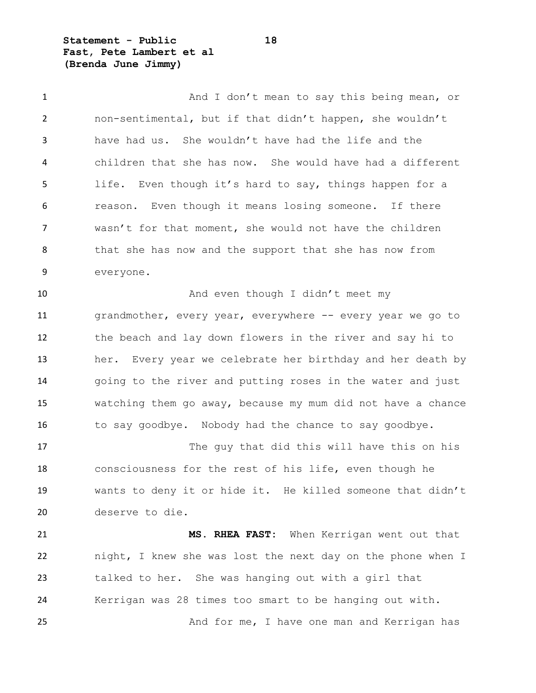**Statement - Public 18 Fast, Pete Lambert et al (Brenda June Jimmy)**

deserve to die.

1 And I don't mean to say this being mean, or non-sentimental, but if that didn't happen, she wouldn't have had us. She wouldn't have had the life and the children that she has now. She would have had a different life. Even though it's hard to say, things happen for a reason. Even though it means losing someone. If there wasn't for that moment, she would not have the children 8 that she has now and the support that she has now from everyone. 10 And even though I didn't meet my 11 grandmother, every year, everywhere -- every year we go to the beach and lay down flowers in the river and say hi to her. Every year we celebrate her birthday and her death by going to the river and putting roses in the water and just watching them go away, because my mum did not have a chance 16 to say goodbye. Nobody had the chance to say goodbye. 17 The guy that did this will have this on his consciousness for the rest of his life, even though he wants to deny it or hide it. He killed someone that didn't

 **MS. RHEA FAST:** When Kerrigan went out that night, I knew she was lost the next day on the phone when I talked to her. She was hanging out with a girl that Kerrigan was 28 times too smart to be hanging out with. And for me, I have one man and Kerrigan has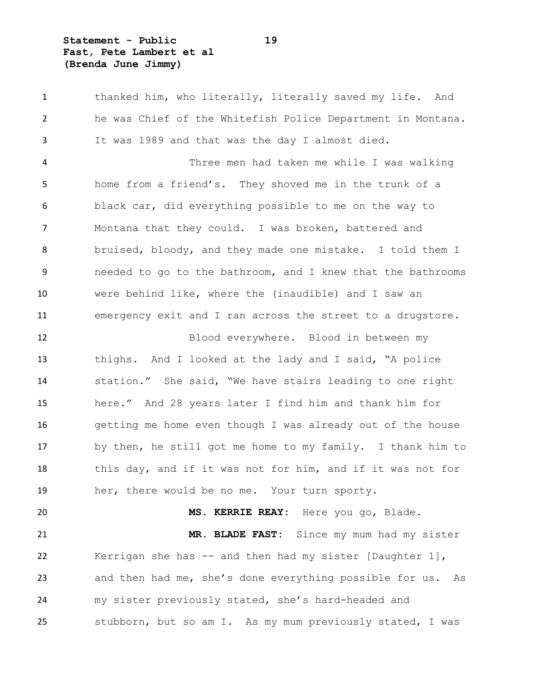**Statement - Public 19 Fast, Pete Lambert et al (Brenda June Jimmy)**

1 thanked him, who literally, literally saved my life. And he was Chief of the Whitefish Police Department in Montana. It was 1989 and that was the day I almost died. Three men had taken me while I was walking home from a friend's. They shoved me in the trunk of a black car, did everything possible to me on the way to Montana that they could. I was broken, battered and bruised, bloody, and they made one mistake. I told them I needed to go to the bathroom, and I knew that the bathrooms were behind like, where the (inaudible) and I saw an emergency exit and I ran across the street to a drugstore. Blood everywhere. Blood in between my thighs. And I looked at the lady and I said, "A police station." She said, "We have stairs leading to one right here." And 28 years later I find him and thank him for getting me home even though I was already out of the house by then, he still got me home to my family. I thank him to this day, and if it was not for him, and if it was not for her, there would be no me. Your turn sporty. **MS. KERRIE REAY:** Here you go, Blade. **MR. BLADE FAST:** Since my mum had my sister Kerrigan she has -- and then had my sister [Daughter 1], and then had me, she's done everything possible for us. As my sister previously stated, she's hard-headed and stubborn, but so am I. As my mum previously stated, I was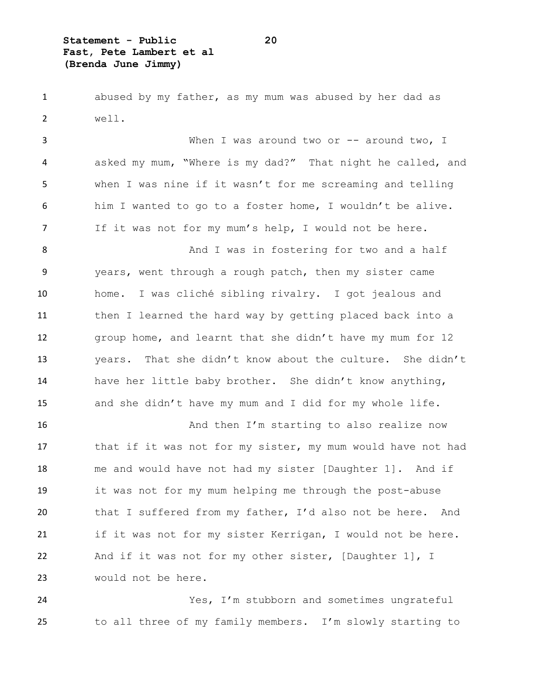**Statement - Public 20 Fast, Pete Lambert et al (Brenda June Jimmy)**

 abused by my father, as my mum was abused by her dad as well.

3 When I was around two or -- around two, I asked my mum, "Where is my dad?" That night he called, and when I was nine if it wasn't for me screaming and telling him I wanted to go to a foster home, I wouldn't be alive. If it was not for my mum's help, I would not be here. 8 And I was in fostering for two and a half years, went through a rough patch, then my sister came home. I was cliché sibling rivalry. I got jealous and then I learned the hard way by getting placed back into a group home, and learnt that she didn't have my mum for 12 years. That she didn't know about the culture. She didn't have her little baby brother. She didn't know anything,

and she didn't have my mum and I did for my whole life.

16 And then I'm starting to also realize now 17 that if it was not for my sister, my mum would have not had me and would have not had my sister [Daughter 1]. And if it was not for my mum helping me through the post-abuse that I suffered from my father, I'd also not be here. And 21 if it was not for my sister Kerrigan, I would not be here. And if it was not for my other sister, [Daughter 1], I would not be here.

 Yes, I'm stubborn and sometimes ungrateful to all three of my family members. I'm slowly starting to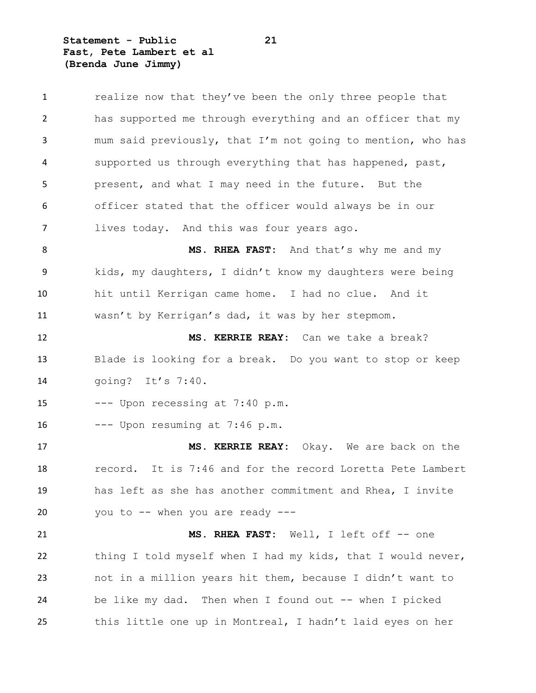**Statement - Public 21 Fast, Pete Lambert et al (Brenda June Jimmy)**

| $\mathbf{1}$ | realize now that they've been the only three people that    |
|--------------|-------------------------------------------------------------|
| 2            | has supported me through everything and an officer that my  |
| 3            | mum said previously, that I'm not going to mention, who has |
| 4            | supported us through everything that has happened, past,    |
| 5            | present, and what I may need in the future. But the         |
| 6            | officer stated that the officer would always be in our      |
| 7            | lives today. And this was four years ago.                   |
| 8            | MS. RHEA FAST: And that's why me and my                     |
| 9            | kids, my daughters, I didn't know my daughters were being   |
| 10           | hit until Kerrigan came home. I had no clue. And it         |
| 11           | wasn't by Kerrigan's dad, it was by her stepmom.            |
| 12           | MS. KERRIE REAY: Can we take a break?                       |
| 13           | Blade is looking for a break. Do you want to stop or keep   |
| 14           | going? It's 7:40.                                           |
| 15           | --- Upon recessing at 7:40 p.m.                             |
| 16           | --- Upon resuming at 7:46 p.m.                              |
| 17           | MS. KERRIE REAY: Okay. We are back on the                   |
| 18           | record. It is 7:46 and for the record Loretta Pete Lambert  |
| 19           | has left as she has another commitment and Rhea, I invite   |
| 20           | you to -- when you are ready ---                            |
| 21           | MS. RHEA FAST: Well, I left off -- one                      |
| 22           | thing I told myself when I had my kids, that I would never, |
| 23           | not in a million years hit them, because I didn't want to   |
| 24           | be like my dad. Then when I found out -- when I picked      |
| 25           | this little one up in Montreal, I hadn't laid eyes on her   |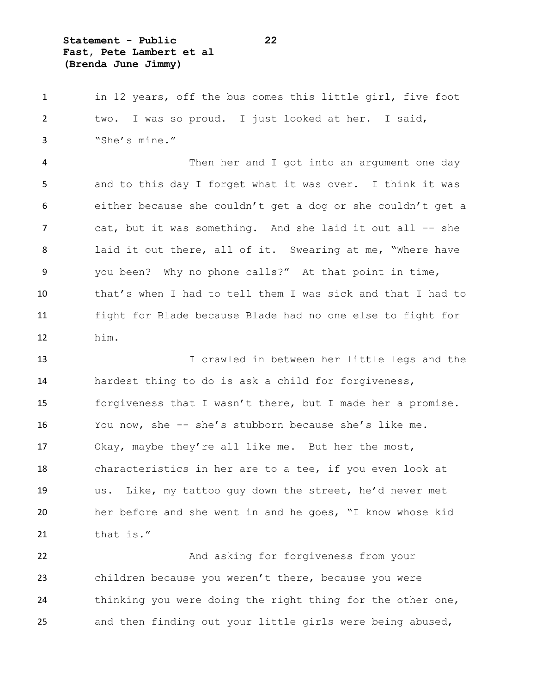**Statement - Public 22 Fast, Pete Lambert et al (Brenda June Jimmy)**

1 in 12 years, off the bus comes this little girl, five foot two. I was so proud. I just looked at her. I said, "She's mine."

 Then her and I got into an argument one day and to this day I forget what it was over. I think it was either because she couldn't get a dog or she couldn't get a 7 cat, but it was something. And she laid it out all -- she laid it out there, all of it. Swearing at me, "Where have you been? Why no phone calls?" At that point in time, that's when I had to tell them I was sick and that I had to fight for Blade because Blade had no one else to fight for him.

 I crawled in between her little legs and the hardest thing to do is ask a child for forgiveness, 15 forgiveness that I wasn't there, but I made her a promise. You now, she -- she's stubborn because she's like me. Okay, maybe they're all like me. But her the most, characteristics in her are to a tee, if you even look at us. Like, my tattoo guy down the street, he'd never met her before and she went in and he goes, "I know whose kid 21 that is."

 And asking for forgiveness from your children because you weren't there, because you were thinking you were doing the right thing for the other one, and then finding out your little girls were being abused,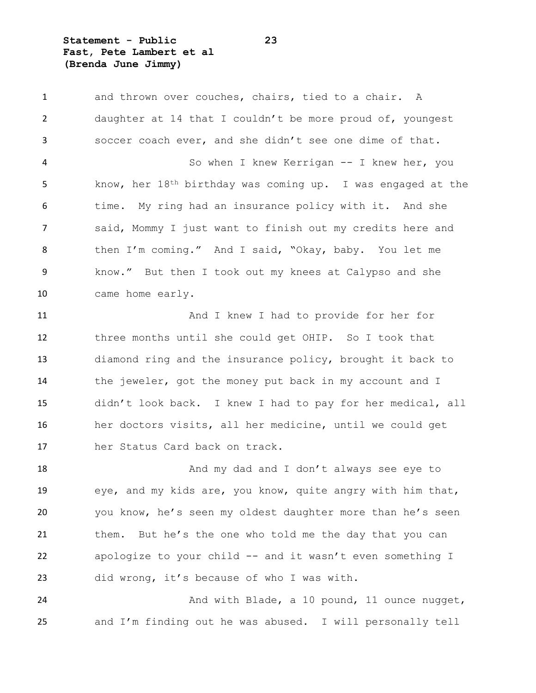**Statement - Public 23 Fast, Pete Lambert et al (Brenda June Jimmy)**

1 and thrown over couches, chairs, tied to a chair. A daughter at 14 that I couldn't be more proud of, youngest soccer coach ever, and she didn't see one dime of that. So when I knew Kerrigan -- I knew her, you know, her 18th birthday was coming up. I was engaged at the 6 time. My ring had an insurance policy with it. And she said, Mommy I just want to finish out my credits here and then I'm coming." And I said, "Okay, baby. You let me know." But then I took out my knees at Calypso and she came home early. 11 And I knew I had to provide for her for

 three months until she could get OHIP. So I took that diamond ring and the insurance policy, brought it back to the jeweler, got the money put back in my account and I didn't look back. I knew I had to pay for her medical, all her doctors visits, all her medicine, until we could get her Status Card back on track.

**And my dad and I don't always see eye to**  eye, and my kids are, you know, quite angry with him that, you know, he's seen my oldest daughter more than he's seen them. But he's the one who told me the day that you can apologize to your child -- and it wasn't even something I did wrong, it's because of who I was with.

24 And with Blade, a 10 pound, 11 ounce nugget, and I'm finding out he was abused. I will personally tell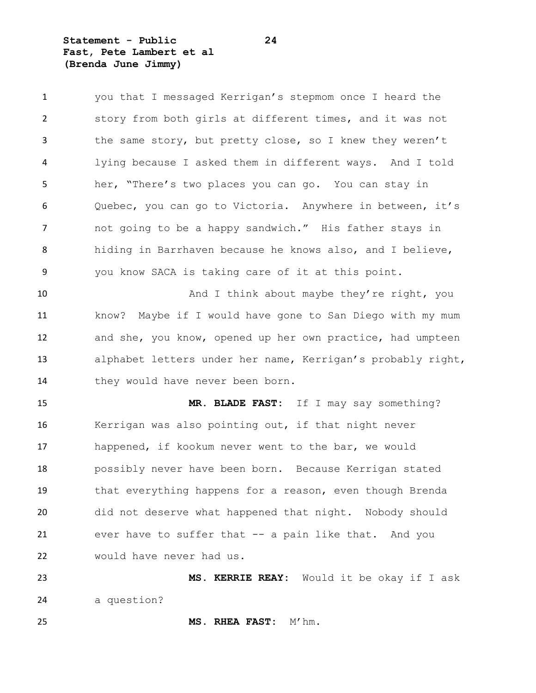**Statement - Public 24 Fast, Pete Lambert et al (Brenda June Jimmy)**

| $\mathbf{1}$ | you that I messaged Kerrigan's stepmom once I heard the     |
|--------------|-------------------------------------------------------------|
| 2            | story from both girls at different times, and it was not    |
| 3            | the same story, but pretty close, so I knew they weren't    |
| 4            | lying because I asked them in different ways. And I told    |
| 5            | her, "There's two places you can go. You can stay in        |
| 6            | Quebec, you can go to Victoria. Anywhere in between, it's   |
| 7            | not going to be a happy sandwich." His father stays in      |
| 8            | hiding in Barrhaven because he knows also, and I believe,   |
| 9            | you know SACA is taking care of it at this point.           |
| 10           | And I think about maybe they're right, you                  |
| 11           | know? Maybe if I would have gone to San Diego with my mum   |
| 12           | and she, you know, opened up her own practice, had umpteen  |
| 13           | alphabet letters under her name, Kerrigan's probably right, |
|              |                                                             |
| 14           | they would have never been born.                            |
| 15           | MR. BLADE FAST: If I may say something?                     |
| 16           | Kerrigan was also pointing out, if that night never         |
| 17           | happened, if kookum never went to the bar, we would         |
| 18           | possibly never have been born. Because Kerrigan stated      |
| 19           | that everything happens for a reason, even though Brenda    |
| 20           | did not deserve what happened that night. Nobody should     |
| 21           | ever have to suffer that -- a pain like that. And you       |
| 22           | would have never had us.                                    |

 **MS. KERRIE REAY:** Would it be okay if I ask a question?

**MS. RHEA FAST:** M'hm.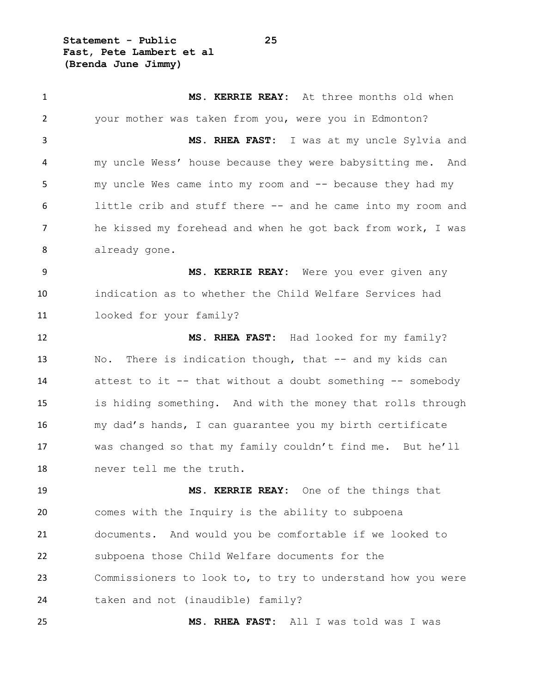**Statement - Public 25 Fast, Pete Lambert et al (Brenda June Jimmy)**

 **MS. KERRIE REAY:** At three months old when your mother was taken from you, were you in Edmonton? **MS. RHEA FAST:** I was at my uncle Sylvia and my uncle Wess' house because they were babysitting me. And my uncle Wes came into my room and -- because they had my little crib and stuff there -- and he came into my room and he kissed my forehead and when he got back from work, I was already gone. **MS. KERRIE REAY:** Were you ever given any indication as to whether the Child Welfare Services had looked for your family? **MS. RHEA FAST:** Had looked for my family? 13 No. There is indication though, that -- and my kids can attest to it -- that without a doubt something -- somebody is hiding something. And with the money that rolls through my dad's hands, I can guarantee you my birth certificate was changed so that my family couldn't find me. But he'll never tell me the truth.

 **MS. KERRIE REAY:** One of the things that comes with the Inquiry is the ability to subpoena documents. And would you be comfortable if we looked to subpoena those Child Welfare documents for the Commissioners to look to, to try to understand how you were taken and not (inaudible) family?

**MS. RHEA FAST:** All I was told was I was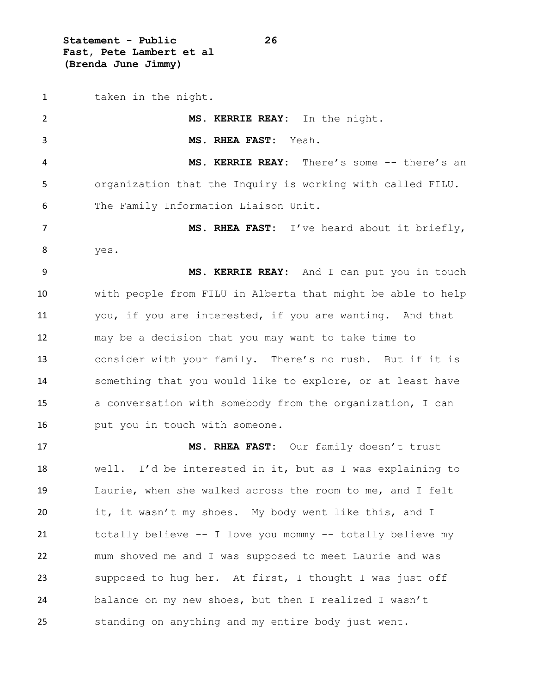**Statement - Public 26 Fast, Pete Lambert et al (Brenda June Jimmy)**

 taken in the night. **MS. KERRIE REAY:** In the night. **MS. RHEA FAST:** Yeah. **MS. KERRIE REAY:** There's some -- there's an organization that the Inquiry is working with called FILU. The Family Information Liaison Unit. **MS. RHEA FAST:** I've heard about it briefly, yes. **MS. KERRIE REAY:** And I can put you in touch with people from FILU in Alberta that might be able to help you, if you are interested, if you are wanting. And that may be a decision that you may want to take time to consider with your family. There's no rush. But if it is something that you would like to explore, or at least have a conversation with somebody from the organization, I can **put you in touch with someone. MS. RHEA FAST:** Our family doesn't trust well. I'd be interested in it, but as I was explaining to Laurie, when she walked across the room to me, and I felt it, it wasn't my shoes. My body went like this, and I

 totally believe -- I love you mommy -- totally believe my mum shoved me and I was supposed to meet Laurie and was supposed to hug her. At first, I thought I was just off balance on my new shoes, but then I realized I wasn't standing on anything and my entire body just went.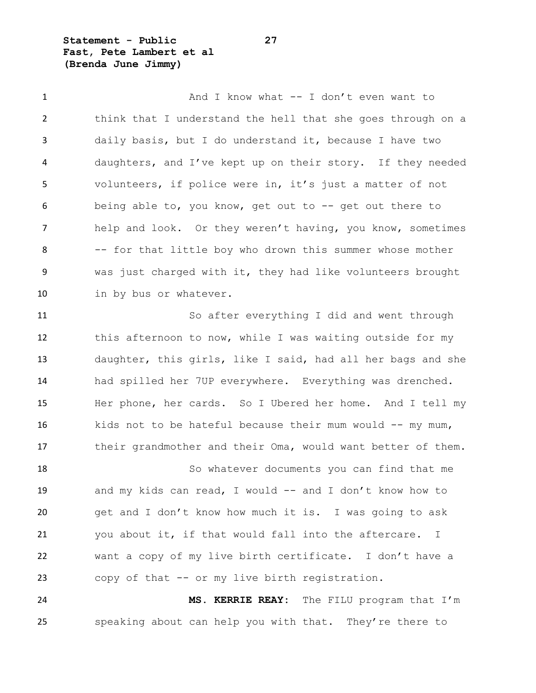**Statement - Public 27 Fast, Pete Lambert et al (Brenda June Jimmy)**

1 And I know what -- I don't even want to think that I understand the hell that she goes through on a daily basis, but I do understand it, because I have two daughters, and I've kept up on their story. If they needed volunteers, if police were in, it's just a matter of not being able to, you know, get out to -- get out there to help and look. Or they weren't having, you know, sometimes -- for that little boy who drown this summer whose mother was just charged with it, they had like volunteers brought in by bus or whatever.

 So after everything I did and went through this afternoon to now, while I was waiting outside for my daughter, this girls, like I said, had all her bags and she had spilled her 7UP everywhere. Everything was drenched. Her phone, her cards. So I Ubered her home. And I tell my 16 kids not to be hateful because their mum would -- my mum, 17 their grandmother and their Oma, would want better of them.

 So whatever documents you can find that me 19 and my kids can read, I would -- and I don't know how to get and I don't know how much it is. I was going to ask you about it, if that would fall into the aftercare. I want a copy of my live birth certificate. I don't have a copy of that -- or my live birth registration.

 **MS. KERRIE REAY:** The FILU program that I'm speaking about can help you with that. They're there to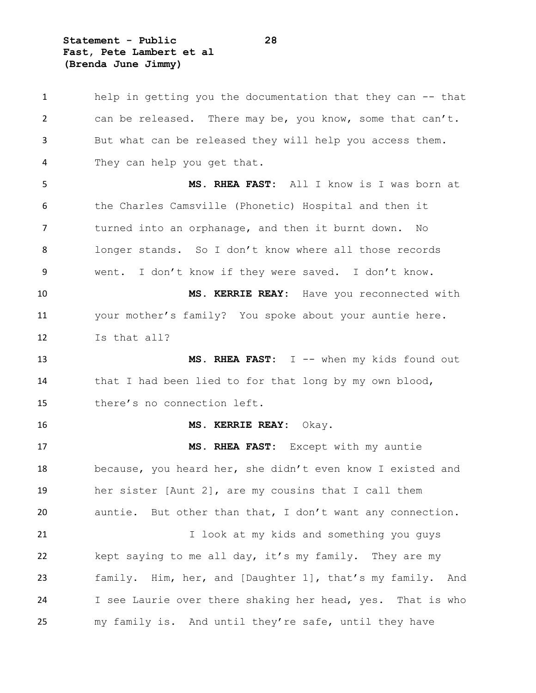**Statement - Public 28 Fast, Pete Lambert et al (Brenda June Jimmy)**

 help in getting you the documentation that they can -- that can be released. There may be, you know, some that can't. But what can be released they will help you access them. They can help you get that. **MS. RHEA FAST:** All I know is I was born at the Charles Camsville (Phonetic) Hospital and then it turned into an orphanage, and then it burnt down. No longer stands. So I don't know where all those records went. I don't know if they were saved. I don't know. **MS. KERRIE REAY:** Have you reconnected with your mother's family? You spoke about your auntie here. Is that all? **MS. RHEA FAST:** I -- when my kids found out 14 that I had been lied to for that long by my own blood, there's no connection left. **MS. KERRIE REAY:** Okay. **MS. RHEA FAST:** Except with my auntie because, you heard her, she didn't even know I existed and her sister [Aunt 2], are my cousins that I call them auntie. But other than that, I don't want any connection. 21 I look at my kids and something you guys kept saying to me all day, it's my family. They are my family. Him, her, and [Daughter 1], that's my family. And I see Laurie over there shaking her head, yes. That is who my family is. And until they're safe, until they have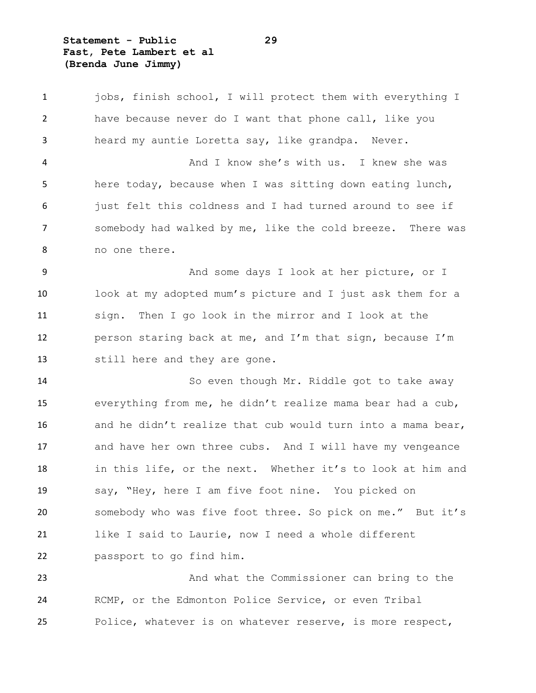**Statement - Public 29 Fast, Pete Lambert et al (Brenda June Jimmy)**

 jobs, finish school, I will protect them with everything I have because never do I want that phone call, like you heard my auntie Loretta say, like grandpa. Never. And I know she's with us. I knew she was here today, because when I was sitting down eating lunch, just felt this coldness and I had turned around to see if somebody had walked by me, like the cold breeze. There was no one there. 9 And some days I look at her picture, or I look at my adopted mum's picture and I just ask them for a sign. Then I go look in the mirror and I look at the person staring back at me, and I'm that sign, because I'm still here and they are gone. So even though Mr. Riddle got to take away everything from me, he didn't realize mama bear had a cub, 16 and he didn't realize that cub would turn into a mama bear, and have her own three cubs. And I will have my vengeance in this life, or the next. Whether it's to look at him and say, "Hey, here I am five foot nine. You picked on somebody who was five foot three. So pick on me." But it's

passport to go find him.

 And what the Commissioner can bring to the RCMP, or the Edmonton Police Service, or even Tribal Police, whatever is on whatever reserve, is more respect,

like I said to Laurie, now I need a whole different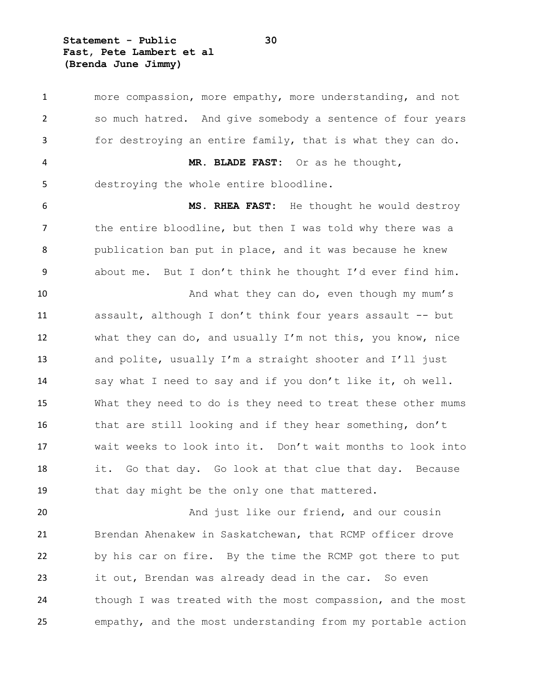**Statement - Public 30 Fast, Pete Lambert et al (Brenda June Jimmy)**

 more compassion, more empathy, more understanding, and not so much hatred. And give somebody a sentence of four years for destroying an entire family, that is what they can do. **MR. BLADE FAST:** Or as he thought, destroying the whole entire bloodline. **MS. RHEA FAST:** He thought he would destroy the entire bloodline, but then I was told why there was a publication ban put in place, and it was because he knew about me. But I don't think he thought I'd ever find him. 10 And what they can do, even though my mum's assault, although I don't think four years assault -- but what they can do, and usually I'm not this, you know, nice and polite, usually I'm a straight shooter and I'll just say what I need to say and if you don't like it, oh well. What they need to do is they need to treat these other mums that are still looking and if they hear something, don't wait weeks to look into it. Don't wait months to look into it. Go that day. Go look at that clue that day. Because that day might be the only one that mattered. **And just like our friend, and our cousin**  Brendan Ahenakew in Saskatchewan, that RCMP officer drove by his car on fire. By the time the RCMP got there to put

 it out, Brendan was already dead in the car. So even though I was treated with the most compassion, and the most empathy, and the most understanding from my portable action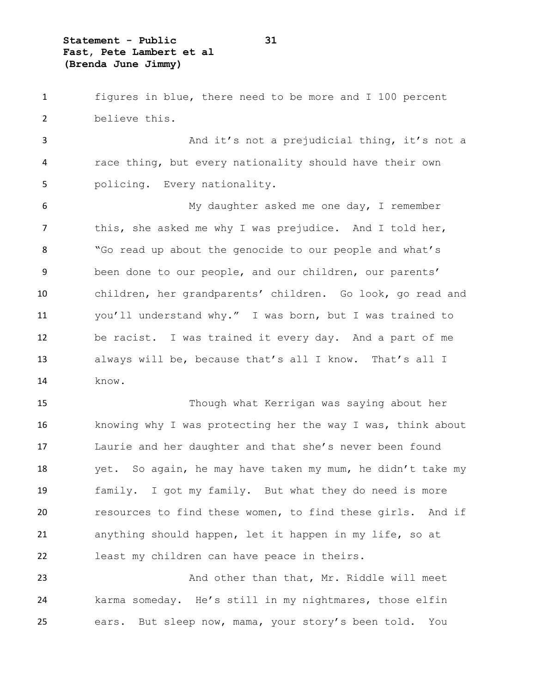**Statement - Public 31 Fast, Pete Lambert et al (Brenda June Jimmy)**

 figures in blue, there need to be more and I 100 percent believe this.

 And it's not a prejudicial thing, it's not a race thing, but every nationality should have their own policing. Every nationality.

 My daughter asked me one day, I remember 7 this, she asked me why I was prejudice. And I told her, "Go read up about the genocide to our people and what's been done to our people, and our children, our parents' children, her grandparents' children. Go look, go read and you'll understand why." I was born, but I was trained to be racist. I was trained it every day. And a part of me always will be, because that's all I know. That's all I know.

 Though what Kerrigan was saying about her knowing why I was protecting her the way I was, think about Laurie and her daughter and that she's never been found yet. So again, he may have taken my mum, he didn't take my family. I got my family. But what they do need is more resources to find these women, to find these girls. And if anything should happen, let it happen in my life, so at least my children can have peace in theirs.

23 And other than that, Mr. Riddle will meet karma someday. He's still in my nightmares, those elfin ears. But sleep now, mama, your story's been told. You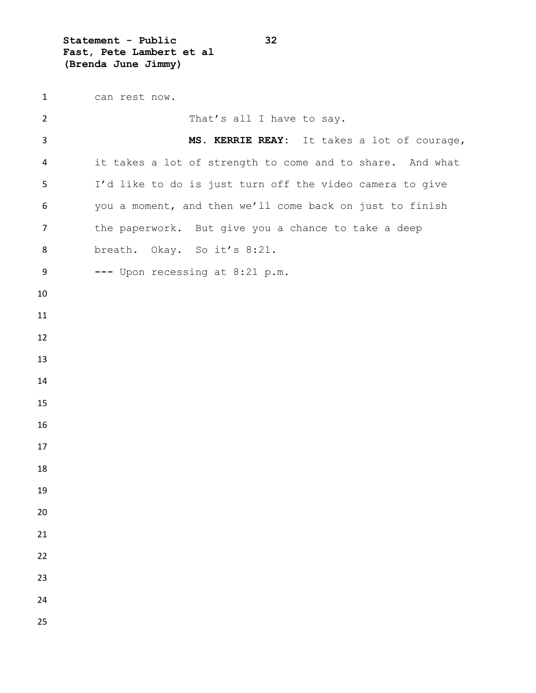**Statement - Public 32 Fast, Pete Lambert et al (Brenda June Jimmy)**

 can rest now. 2 That's all I have to say. **MS. KERRIE REAY:** It takes a lot of courage, it takes a lot of strength to come and to share. And what I'd like to do is just turn off the video camera to give you a moment, and then we'll come back on just to finish 7 the paperwork. But give you a chance to take a deep 8 breath. Okay. So it's 8:21. **---** Upon recessing at 8:21 p.m.